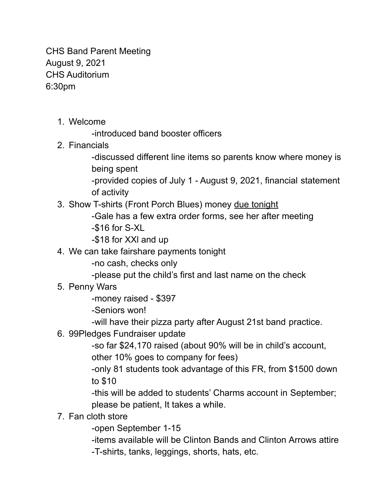CHS Band Parent Meeting August 9, 2021 CHS Auditorium 6:30pm

1. Welcome

-introduced band booster officers

2. Financials

-discussed different line items so parents know where money is being spent

-provided copies of July 1 - August 9, 2021, financial statement of activity

3. Show T-shirts (Front Porch Blues) money due tonight

-Gale has a few extra order forms, see her after meeting

- -\$16 for S-XL
- -\$18 for XXl and up
- 4. We can take fairshare payments tonight

-no cash, checks only

-please put the child's first and last name on the check

5. Penny Wars

-money raised - \$397

-Seniors won!

-will have their pizza party after August 21st band practice.

6. 99Pledges Fundraiser update

-so far \$24,170 raised (about 90% will be in child's account, other 10% goes to company for fees)

-only 81 students took advantage of this FR, from \$1500 down to \$10

-this will be added to students' Charms account in September; please be patient, It takes a while.

## 7. Fan cloth store

-open September 1-15

-items available will be Clinton Bands and Clinton Arrows attire -T-shirts, tanks, leggings, shorts, hats, etc.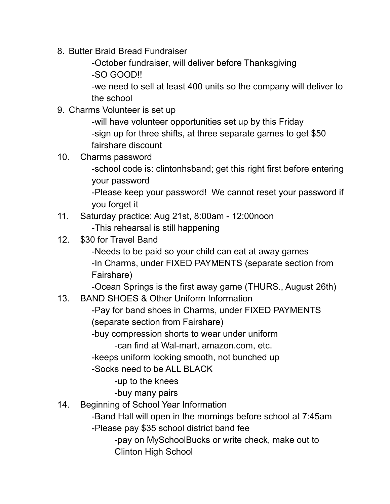- 8. Butter Braid Bread Fundraiser
	- -October fundraiser, will deliver before Thanksgiving
	- -SO GOOD!!

-we need to sell at least 400 units so the company will deliver to the school

9. Charms Volunteer is set up

-will have volunteer opportunities set up by this Friday -sign up for three shifts, at three separate games to get \$50 fairshare discount

10. Charms password

-school code is: clintonhsband; get this right first before entering your password

-Please keep your password! We cannot reset your password if you forget it

- 11. Saturday practice: Aug 21st, 8:00am 12:00noon -This rehearsal is still happening
- 12. \$30 for Travel Band

-Needs to be paid so your child can eat at away games -In Charms, under FIXED PAYMENTS (separate section from Fairshare)

-Ocean Springs is the first away game (THURS., August 26th)

13. BAND SHOES & Other Uniform Information

-Pay for band shoes in Charms, under FIXED PAYMENTS (separate section from Fairshare)

-buy compression shorts to wear under uniform

-can find at Wal-mart, amazon.com, etc.

- -keeps uniform looking smooth, not bunched up
- -Socks need to be ALL BLACK

-up to the knees

- -buy many pairs
- 14. Beginning of School Year Information

-Band Hall will open in the mornings before school at 7:45am

-Please pay \$35 school district band fee

-pay on MySchoolBucks or write check, make out to Clinton High School